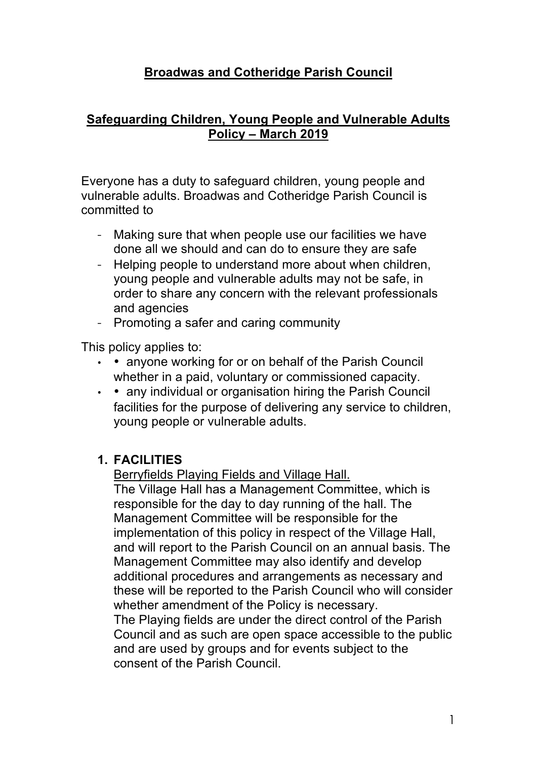## **Broadwas and Cotheridge Parish Council**

#### **Safeguarding Children, Young People and Vulnerable Adults Policy – March 2019**

Everyone has a duty to safeguard children, young people and vulnerable adults. Broadwas and Cotheridge Parish Council is committed to

- Making sure that when people use our facilities we have done all we should and can do to ensure they are safe
- Helping people to understand more about when children, young people and vulnerable adults may not be safe, in order to share any concern with the relevant professionals and agencies
- Promoting a safer and caring community

This policy applies to:

- • anyone working for or on behalf of the Parish Council whether in a paid, voluntary or commissioned capacity.
- • any individual or organisation hiring the Parish Council facilities for the purpose of delivering any service to children, young people or vulnerable adults.

## **1. FACILITIES**

Berryfields Playing Fields and Village Hall.

The Village Hall has a Management Committee, which is responsible for the day to day running of the hall. The Management Committee will be responsible for the implementation of this policy in respect of the Village Hall, and will report to the Parish Council on an annual basis. The Management Committee may also identify and develop additional procedures and arrangements as necessary and these will be reported to the Parish Council who will consider whether amendment of the Policy is necessary.

The Playing fields are under the direct control of the Parish Council and as such are open space accessible to the public and are used by groups and for events subject to the consent of the Parish Council.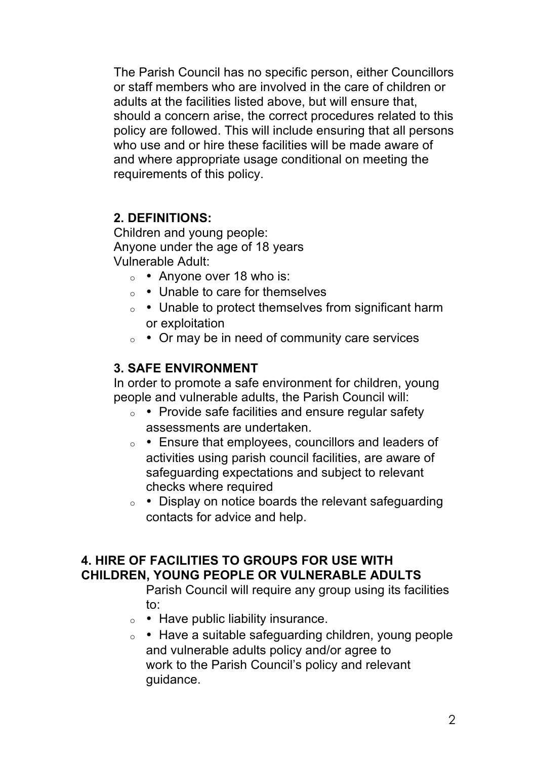The Parish Council has no specific person, either Councillors or staff members who are involved in the care of children or adults at the facilities listed above, but will ensure that, should a concern arise, the correct procedures related to this policy are followed. This will include ensuring that all persons who use and or hire these facilities will be made aware of and where appropriate usage conditional on meeting the requirements of this policy.

#### **2. DEFINITIONS:**

Children and young people: Anyone under the age of 18 years Vulnerable Adult:

- $\circ$  Anyone over 18 who is:
- <sup>o</sup> Unable to care for themselves
- <sup>o</sup> Unable to protect themselves from significant harm or exploitation
- $\circ \cdot$  Or may be in need of community care services

## **3. SAFE ENVIRONMENT**

In order to promote a safe environment for children, young people and vulnerable adults, the Parish Council will:

- <sup>o</sup> Provide safe facilities and ensure regular safety assessments are undertaken.
- <sup>o</sup> Ensure that employees, councillors and leaders of activities using parish council facilities, are aware of safeguarding expectations and subject to relevant checks where required
- <sup>o</sup> Display on notice boards the relevant safeguarding contacts for advice and help.

## **4. HIRE OF FACILITIES TO GROUPS FOR USE WITH CHILDREN, YOUNG PEOPLE OR VULNERABLE ADULTS**

Parish Council will require any group using its facilities to:

- $\circ$  Have public liability insurance.
- <sup>o</sup> Have a suitable safeguarding children, young people and vulnerable adults policy and/or agree to work to the Parish Council's policy and relevant guidance.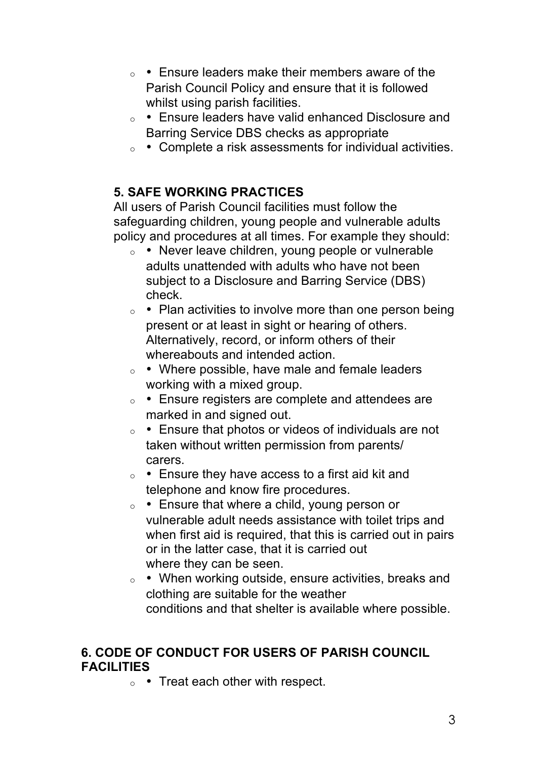- <sup>o</sup> Ensure leaders make their members aware of the Parish Council Policy and ensure that it is followed whilst using parish facilities.
- <sup>o</sup> Ensure leaders have valid enhanced Disclosure and Barring Service DBS checks as appropriate
- <sup>o</sup> Complete a risk assessments for individual activities.

## **5. SAFE WORKING PRACTICES**

All users of Parish Council facilities must follow the safeguarding children, young people and vulnerable adults policy and procedures at all times. For example they should:

- $\circ$  Never leave children, young people or vulnerable adults unattended with adults who have not been subject to a Disclosure and Barring Service (DBS) check.
- $\circ$  Plan activities to involve more than one person being present or at least in sight or hearing of others. Alternatively, record, or inform others of their whereabouts and intended action.
- <sup>o</sup> Where possible, have male and female leaders working with a mixed group.
- <sup>o</sup> Ensure registers are complete and attendees are marked in and signed out.
- <sup>o</sup> Ensure that photos or videos of individuals are not taken without written permission from parents/ carers.
- $\circ$  Ensure they have access to a first aid kit and telephone and know fire procedures.
- <sup>o</sup> Ensure that where a child, young person or vulnerable adult needs assistance with toilet trips and when first aid is required, that this is carried out in pairs or in the latter case, that it is carried out where they can be seen.
- <sup>o</sup> When working outside, ensure activities, breaks and clothing are suitable for the weather conditions and that shelter is available where possible.

## **6. CODE OF CONDUCT FOR USERS OF PARISH COUNCIL FACILITIES**

 $\circ$  • Treat each other with respect.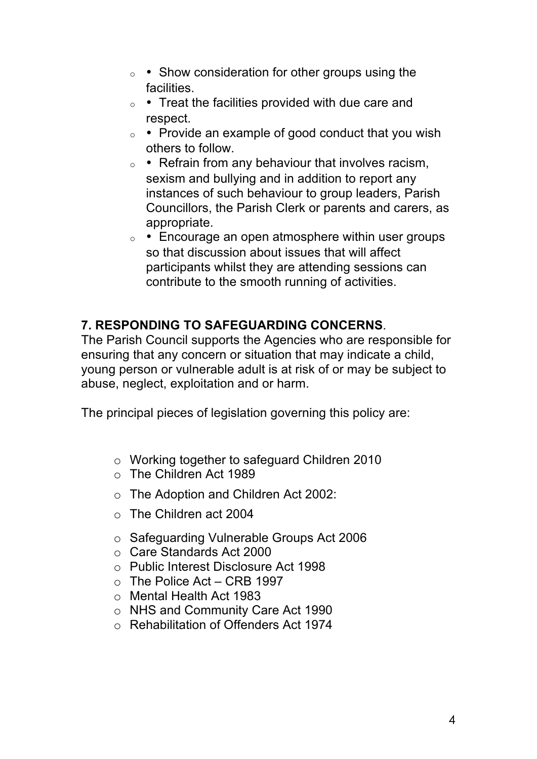- <sup>o</sup> Show consideration for other groups using the facilities.
- $\circ$  Treat the facilities provided with due care and respect.
- $\circ$  Provide an example of good conduct that you wish others to follow.
- $\circ$  Refrain from any behaviour that involves racism, sexism and bullying and in addition to report any instances of such behaviour to group leaders, Parish Councillors, the Parish Clerk or parents and carers, as appropriate.
- $\circ$  Encourage an open atmosphere within user groups so that discussion about issues that will affect participants whilst they are attending sessions can contribute to the smooth running of activities.

## **7. RESPONDING TO SAFEGUARDING CONCERNS**.

The Parish Council supports the Agencies who are responsible for ensuring that any concern or situation that may indicate a child, young person or vulnerable adult is at risk of or may be subject to abuse, neglect, exploitation and or harm.

The principal pieces of legislation governing this policy are:

- o Working together to safeguard Children 2010
- o The Children Act 1989
- o The Adoption and Children Act 2002:
- o The Children act 2004
- o Safeguarding Vulnerable Groups Act 2006
- o Care Standards Act 2000
- o Public Interest Disclosure Act 1998
- $\circ$  The Police Act CRB 1997
- o Mental Health Act 1983
- o NHS and Community Care Act 1990
- o Rehabilitation of Offenders Act 1974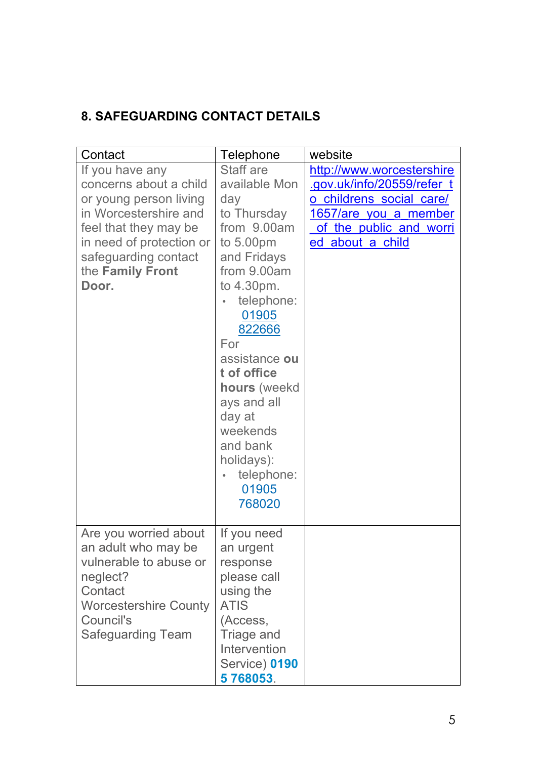# **8. SAFEGUARDING CONTACT DETAILS**

| Contact                      | Telephone         | website                   |
|------------------------------|-------------------|---------------------------|
| If you have any              | Staff are         | http://www.worcestershire |
| concerns about a child       | available Mon     | gov.uk/info/20559/refer_t |
| or young person living       | day               | o childrens social care/  |
| in Worcestershire and        | to Thursday       | 1657/are you a member     |
| feel that they may be        | from 9.00am       | of the public and worri   |
| in need of protection or     | to $5.00pm$       | ed about a child          |
| safeguarding contact         | and Fridays       |                           |
| the Family Front             | from 9.00am       |                           |
| Door.                        | to 4.30pm.        |                           |
|                              | telephone:        |                           |
|                              | 01905             |                           |
|                              | 822666            |                           |
|                              | For               |                           |
|                              | assistance ou     |                           |
|                              | t of office       |                           |
|                              | hours (weekd      |                           |
|                              | ays and all       |                           |
|                              | day at            |                           |
|                              | weekends          |                           |
|                              | and bank          |                           |
|                              | holidays):        |                           |
|                              | telephone:        |                           |
|                              | 01905             |                           |
|                              | 768020            |                           |
|                              |                   |                           |
| Are you worried about        | If you need       |                           |
| an adult who may be          | an urgent         |                           |
| vulnerable to abuse or       | response          |                           |
| neglect?                     | please call       |                           |
| Contact                      | using the         |                           |
| <b>Worcestershire County</b> | <b>ATIS</b>       |                           |
| Council's                    | (Access,          |                           |
| <b>Safeguarding Team</b>     | <b>Triage and</b> |                           |
|                              | Intervention      |                           |
|                              | Service) 0190     |                           |
|                              | 5768053.          |                           |